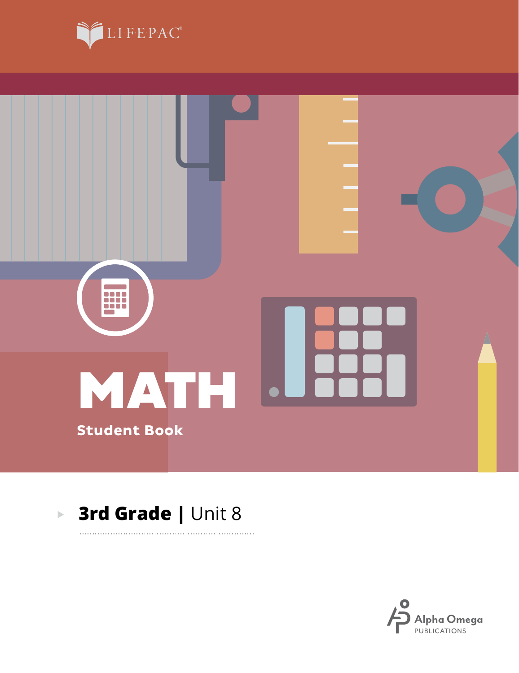



. . . . . . . . . .

#### **3rd Grade |** Unit 8 $\blacktriangleright$

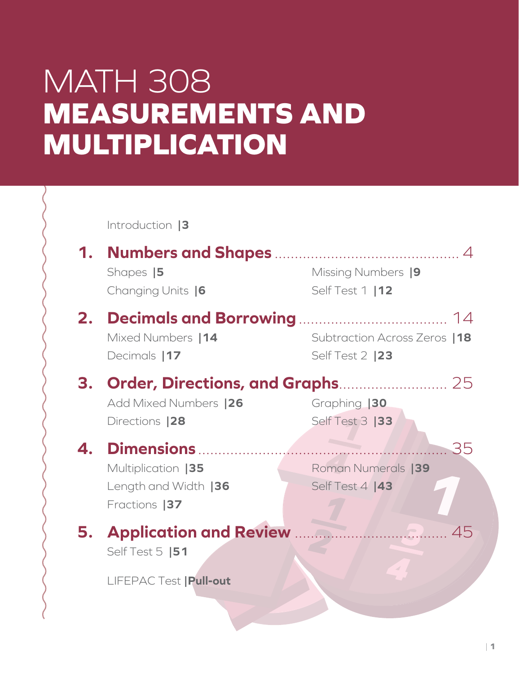# MATH 308 **MEASUREMENTS AND MULTIPLICATION**

**\_3 4 \_1** Self Test 3 **|33 \_ 4. Dimensions** .............................................................. 35 **4** Roman Numerals **|39** Introduction **|3 1. Numbers and Shapes** .............................................. 4 Shapes **|5** Changing Units **|6** Missing Numbers **|9** Self Test 1 **|12 2. Decimals and Borrowing**..................................... 14 Mixed Numbers **|14** Decimals **|17** Subtraction Across Zeros **|18** Self Test 2 **|23 3. Order, Directions, and Graphs**........................... 25 Add Mixed Numbers **|26** Directions **|28** Graphing **|30** Multiplication **|35** Length and Width **|36** Fractions **|37** Self Test 4 **|43 5. Application and Review** ...................................... 45 Self Test 5 **|51** LIFEPAC Test **|Pull-out**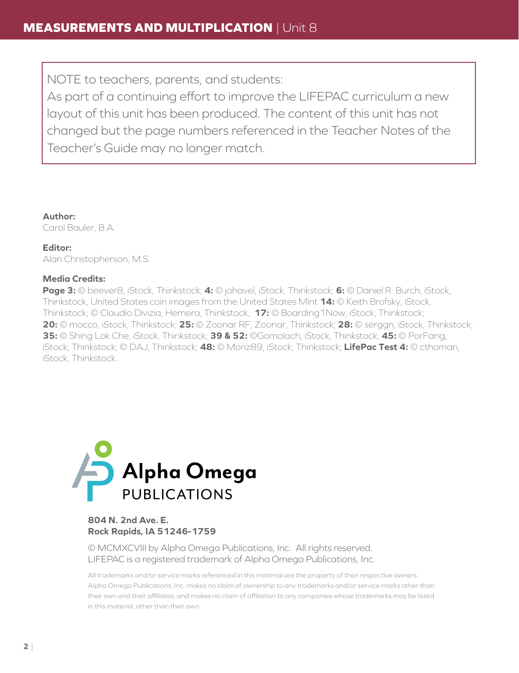NOTE to teachers, parents, and students:

As part of a continuing effort to improve the LIFEPAC curriculum a new layout of this unit has been produced. The content of this unit has not changed but the page numbers referenced in the Teacher Notes of the Teacher's Guide may no longer match.

**Author:** Carol Bauler, B.A.

**Editor:** Alan Christopherson, M.S.

#### **Media Credits:**

**Page 3:** © beever8, iStock, Thinkstock; **4:** © johavel, iStock, Thinkstock; **6:** © Daniel R. Burch, iStock, Thinkstock, United States coin images from the United States Mint **14:** © Keith Brofsky, iStock, Thinkstock; © Claudio Divizia, Hemera, Thinkstock; **17:** © Boarding1Now, iStock, Thinkstock; **20:** © mocco, iStock, Thinkstock; **25:** © Zoonar RF, Zoonar, Thinkstock; **28:** © serggn, iStock, Thinkstock; **35:** © Shing Lok Che, iStock, Thinkstock; **39 & 52:** ©Gomolach, iStock, Thinkstock; **45:** © PorFang, iStock, Thinkstock; © DAJ, Thinkstock; **48:** © Moriz89, iStock, Thinkstock; **LifePac Test 4:** © cthoman, iStock, Thinkstock.



#### **804 N. 2nd Ave. E. Rock Rapids, IA 51246-1759**

© MCMXCVIII by Alpha Omega Publications, Inc. All rights reserved. LIFEPAC is a registered trademark of Alpha Omega Publications, Inc.

All trademarks and/or service marks referenced in this material are the property of their respective owners. Alpha Omega Publications, Inc. makes no claim of ownership to any trademarks and/or service marks other than their own and their affiliates, and makes no claim of affiliation to any companies whose trademarks may be listed in this material, other than their own.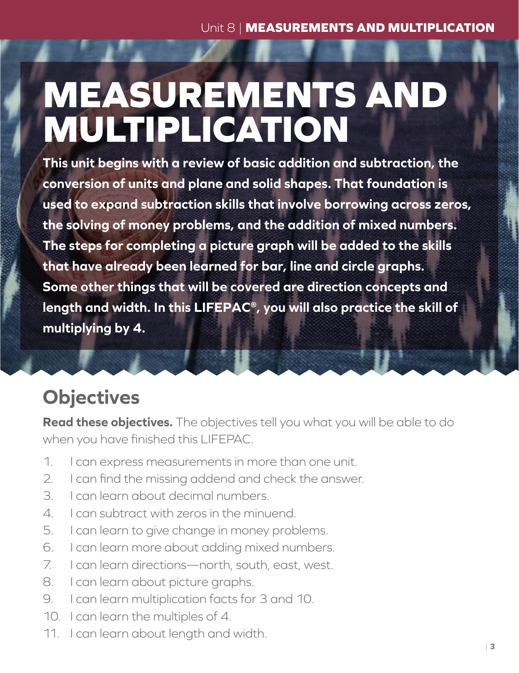# **MEASUREMENTS AND MULTIPLICATION**

**This unit begins with a review of basic addition and subtraction, the conversion of units and plane and solid shapes. That foundation is used to expand subtraction skills that involve borrowing across zeros, the solving of money problems, and the addition of mixed numbers. The steps for completing a picture graph will be added to the skills that have already been learned for bar, line and circle graphs. Some other things that will be covered are direction concepts and length and width. In this LIFEPAC®, you will also practice the skill of multiplying by 4.**

## **Objectives**

**Read these objectives.** The objectives tell you what you will be able to do when you have finished this LIFEPAC.

- 1. I can express measurements in more than one unit.
- 2. I can find the missing addend and check the answer.
- 3. I can learn about decimal numbers.
- 4. I can subtract with zeros in the minuend.
- 5. I can learn to give change in money problems.
- 6. I can learn more about adding mixed numbers.
- 7. I can learn directions—north, south, east, west.
- 8. I can learn about picture graphs.
- 9. I can learn multiplication facts for 3 and 10.
- 10. I can learn the multiples of 4.
- 11. I can learn about length and width.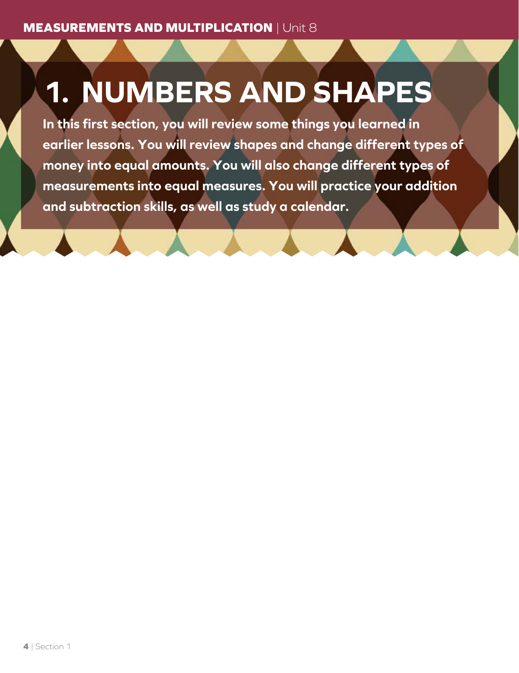# **1. NUMBERS AND SHAPES**

**In this first section, you will review some things you learned in earlier lessons. You will review shapes and change different types of money into equal amounts. You will also change different types of measurements into equal measures. You will practice your addition and subtraction skills, as well as study a calendar.**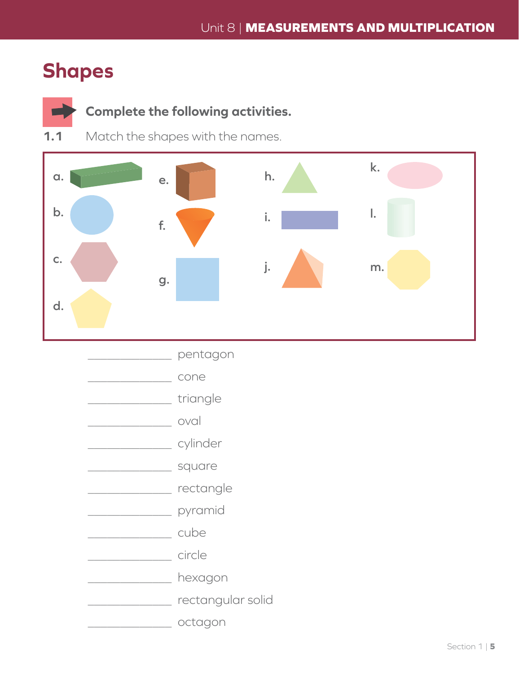### **Shapes**



### Complete the following activities.

 $1.1$ Match the shapes with the names.



\_\_\_\_\_\_\_\_\_ pentagon cone triangle oval **Example 1** Cylinder square **CONFIDENTIFY** rectangle pyramid **Example 2018 Exercise** Circle hexagon \_\_\_\_\_\_\_\_\_\_\_\_\_ rectangular solid <u>\_\_\_\_\_\_\_\_\_\_\_\_\_\_\_\_\_\_</u> octagon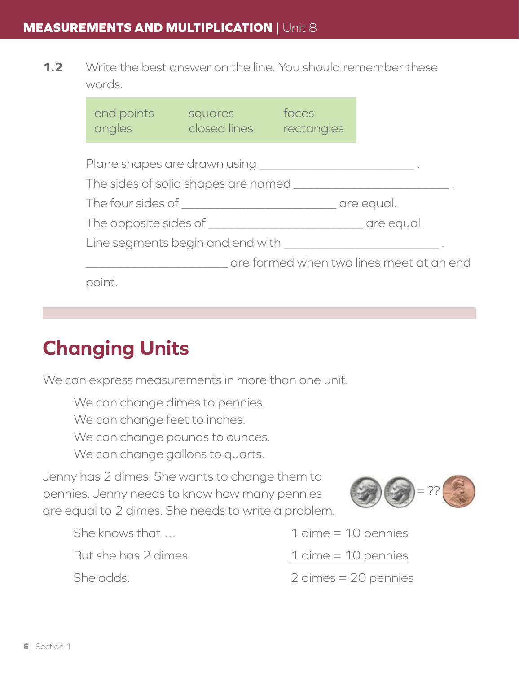**1.2** Write the best answer on the line. You should remember these words.

| end points<br>angles | squares<br><b>Examples</b> closed lines rectangles                    | faces |                                          |
|----------------------|-----------------------------------------------------------------------|-------|------------------------------------------|
|                      |                                                                       |       |                                          |
|                      | The sides of solid shapes are named                                   |       |                                          |
|                      |                                                                       |       |                                          |
|                      |                                                                       |       |                                          |
|                      | Line segments begin and end with ___________________________________. |       |                                          |
|                      |                                                                       |       | are formed when two lines meet at an end |
| point.               |                                                                       |       |                                          |

## **Changing Units**

We can express measurements in more than one unit.

We can change dimes to pennies. We can change feet to inches. We can change pounds to ounces. We can change gallons to quarts.

Jenny has 2 dimes. She wants to change them to pennies. Jenny needs to know how many pennies are equal to 2 dimes. She needs to write a problem.

 $=$  ??

- She knows that … 1 dime = 10 pennies
- But she has 2 dimes. 1 dime = 10 pennies
- She adds. 2 dimes = 20 pennies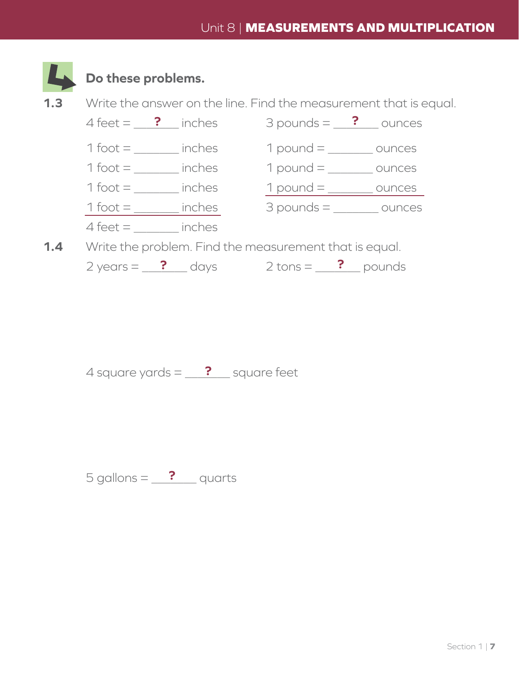

### **Do these problems.**



 $2 \text{ years} = \frac{?}{?}$  days  $2 \text{ tons} = \frac{?}{?}$  pounds

4 square yards  $=$   $\frac{?}{?}$  square feet

 $5$  gallons =  $\frac{?}{?}$  quarts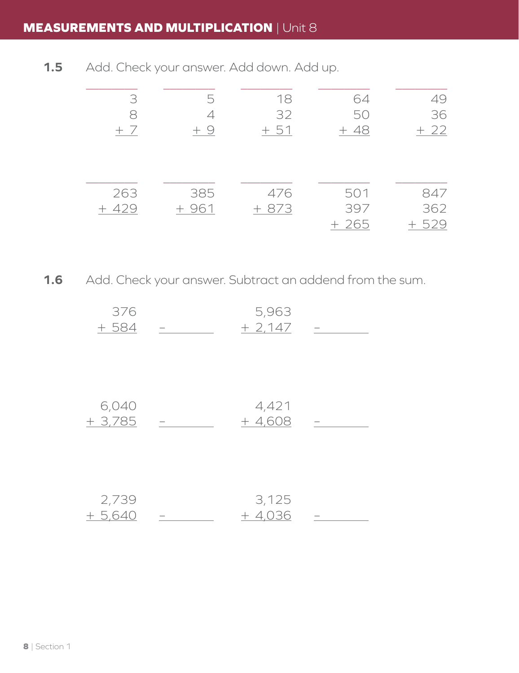### **MEASUREMENTS AND MULTIPLICATION** | Unit 8

**1.5** Add. Check your answer. Add down. Add up.

| 3      | b      | 18     | 64    | 49         |
|--------|--------|--------|-------|------------|
| x      |        | 32     | 50    | 36         |
| $+7$   | $+9$   | $+51$  | $+48$ | $+22$      |
|        |        |        |       |            |
|        |        |        |       |            |
|        |        |        |       |            |
| 263    | 385    | 476    | 501   | 847        |
| $+429$ | $+961$ | $+873$ | 397   | 362        |
|        |        |        | 265   | 529<br>$+$ |

**1.6** Add. Check your answer. Subtract an addend from the sum.

| 376   | 5,963    |  |
|-------|----------|--|
| + 584 | $+2.147$ |  |

| 6.040    |   | 4 4 2 1 |  |
|----------|---|---------|--|
| $+3.785$ | - | $+4608$ |  |

| 2,739   | 3.125    |  |
|---------|----------|--|
| $+5640$ | $+ 4036$ |  |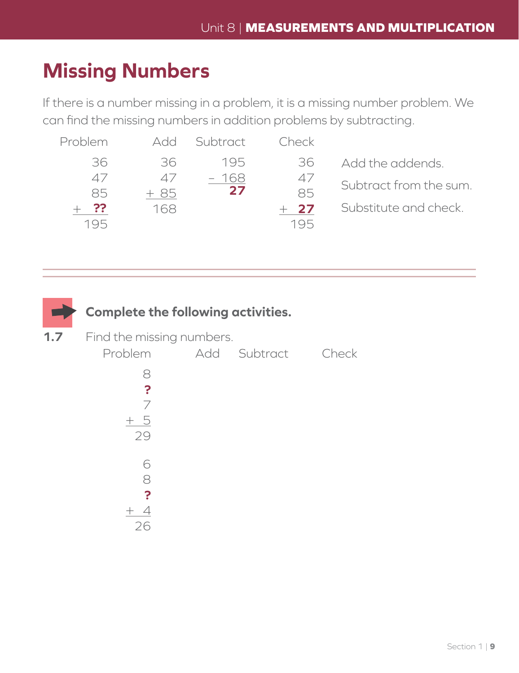## **Missing Numbers**

If there is a number missing in a problem, it is a missing number problem. We can find the missing numbers in addition problems by subtracting.

| Problem       | ANN        | Subtract | Check  |                        |
|---------------|------------|----------|--------|------------------------|
| 36            | 36.        | 195      | 36     | Add the addends.       |
| $\varDelta$ / | $\Delta$ / | - 168    | 47     | Subtract from the sum. |
| 85            | + 85       | 27       | 85     |                        |
| ??            | 168        |          | $+$ 27 | Substitute and check.  |
| 195           |            |          | 195    |                        |

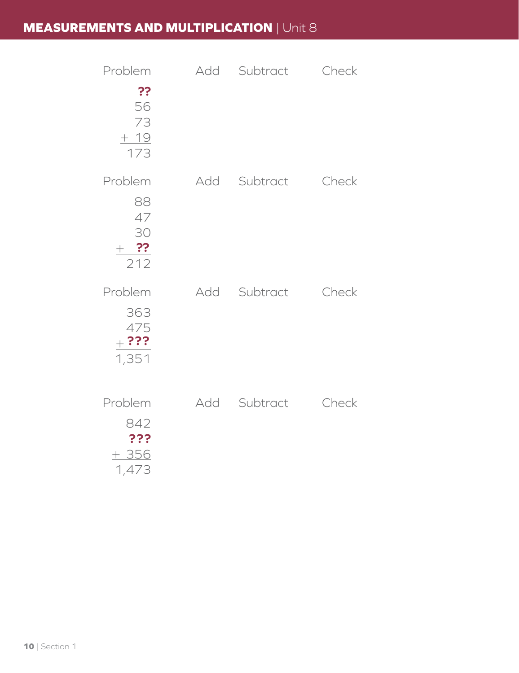### **MEASUREMENTS AND MULTIPLICATION** | Unit 8

| Problem                                      | Add | Subtract     | Check |
|----------------------------------------------|-----|--------------|-------|
| ??<br>56<br>73<br>$+ 19$<br>173              |     |              |       |
| Problem<br>88<br>47<br>30<br>$+$ ??<br>212   |     | Add Subtract | Check |
| Problem<br>363<br>475<br>$+  ? ? ?$<br>1,351 |     | Add Subtract | Check |
| Problem<br>842<br>???<br>$+356$<br>1,473     |     | Add Subtract | Check |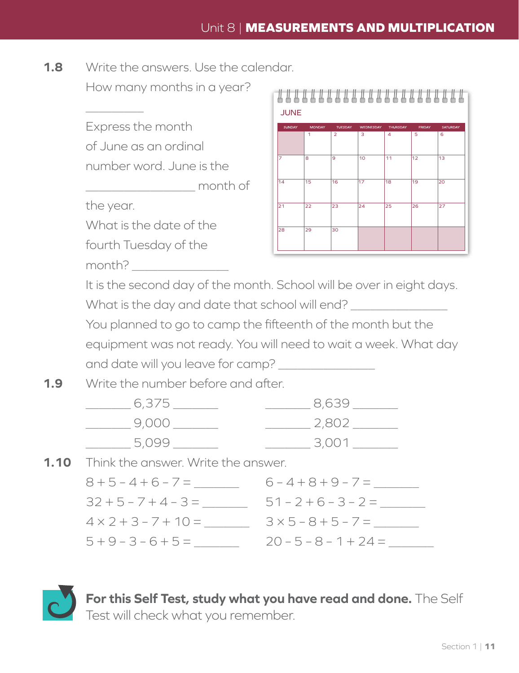**1.8** Write the answers. Use the calendar.

How many months in a year?

Express the month of June as an ordinal number word. June is the

\_\_\_\_\_\_\_\_\_\_\_\_\_\_\_\_\_ month of

the year.

 $\overline{\phantom{a}}$ 

What is the date of the

fourth Tuesday of the

month? \_\_\_\_\_\_\_\_\_\_\_\_\_\_\_



It is the second day of the month. School will be over in eight days.

What is the day and date that school will end?

You planned to go to camp the fifteenth of the month but the equipment was not ready. You will need to wait a week. What day and date will you leave for camp?

**1.9** Write the number before and after.

| 6,375 | 8,639 |
|-------|-------|
| 9,000 | 2.802 |
| 5.099 | 3.001 |

**1.10** Think the answer. Write the answer.

| $8 + 5 - 4 + 6 - 7 =$       | $6 - 4 + 8 + 9 - 7 =$      |
|-----------------------------|----------------------------|
| $32 + 5 - 7 + 4 - 3 =$      | $51 - 2 + 6 - 3 - 2 =$     |
| $4 \times 2 + 3 - 7 + 10 =$ | $3 \times 5 - 8 + 5 - 7 =$ |
| $5 + 9 - 3 - 6 + 5 =$       | $20 - 5 - 8 - 1 + 24 =$    |

**For this Self Test, study what you have read and done.** The Self Test will check what you remember.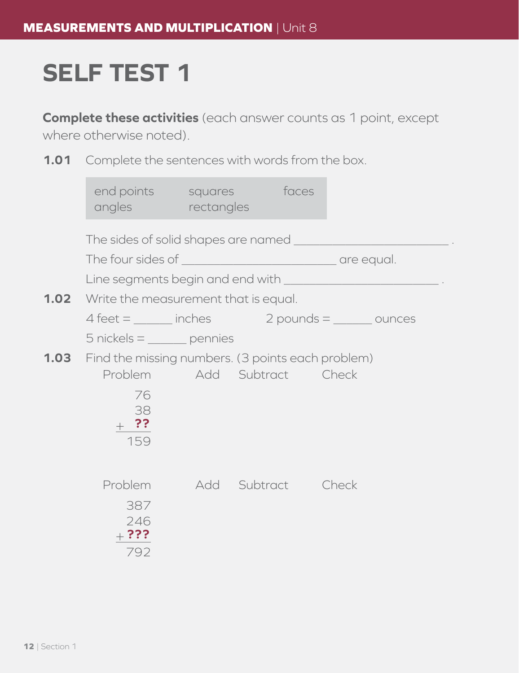## **SELF TEST 1**

**Complete these activities** (each answer counts as 1 point, except where otherwise noted).

**1.01** Complete the sentences with words from the box.

| end points squares faces<br>angles rectangles                 |                            |                                                                       |
|---------------------------------------------------------------|----------------------------|-----------------------------------------------------------------------|
|                                                               |                            |                                                                       |
|                                                               |                            |                                                                       |
|                                                               |                            | Line segments begin and end with _________________________________.   |
| <b>1.02</b> Write the measurement that is equal.              |                            |                                                                       |
|                                                               |                            | $4 \text{ feet} =$ _______ inches $2 \text{ pounds} =$ _______ ounces |
| $5$ nickels = $\_\_\_\_$ pennies                              |                            |                                                                       |
| <b>1.03</b> Find the missing numbers. (3 points each problem) |                            |                                                                       |
|                                                               | Problem Add Subtract Check |                                                                       |
| 76<br>38                                                      |                            |                                                                       |
| $+$ ??                                                        |                            |                                                                       |
| 159                                                           |                            |                                                                       |
|                                                               |                            |                                                                       |
|                                                               | Problem Add Subtract Check |                                                                       |
| 387                                                           |                            |                                                                       |
| 246                                                           |                            |                                                                       |
| $_{+}$ ???<br>792                                             |                            |                                                                       |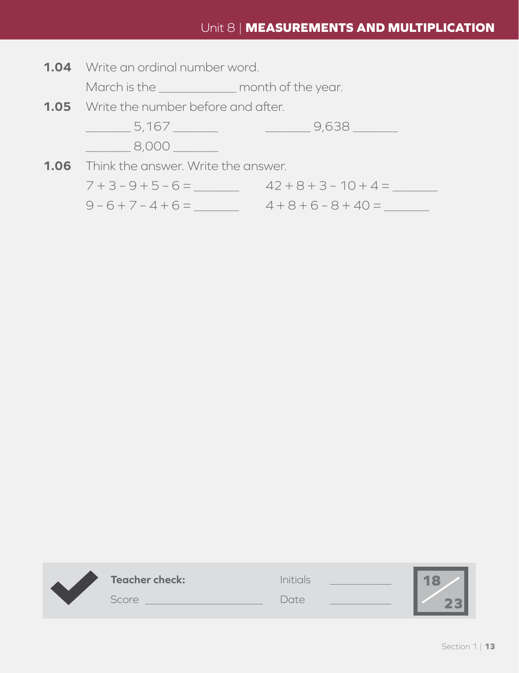#### Unit 8 | **MEASUREMENTS AND MULTIPLICATION**

**1.04** Write an ordinal number word.

March is the \_\_\_\_\_\_\_\_\_\_\_\_\_\_\_ month of the year.

**1.05** Write the number before and after.



 $7 + 3 - 9 + 5 - 6 =$  42 + 8 + 3 - 10 + 4 = 9 – 6 + 7 – 4 + 6 = \_\_\_\_\_\_\_ 4 + 8 + 6 – 8 + 40 = \_\_\_\_\_\_\_

| <b>Teacher check:</b> | Initials    | a. |
|-----------------------|-------------|----|
| Score                 | <b>Pate</b> |    |